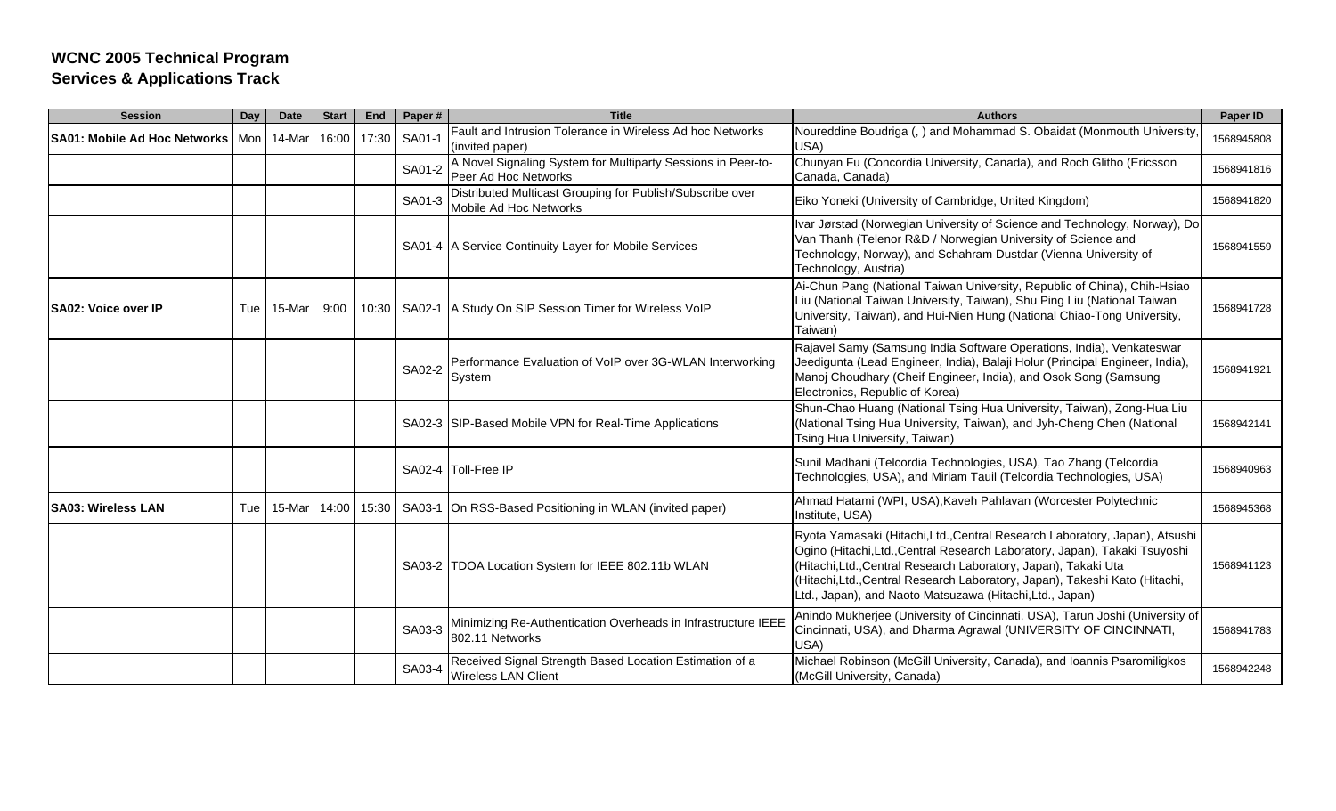| <b>Session</b>                      | Day | <b>Date</b> | <b>Start</b> | End   | Paper# | <b>Title</b>                                                                         | <b>Authors</b>                                                                                                                                                                                                                                                                                                                                                          | Paper ID   |
|-------------------------------------|-----|-------------|--------------|-------|--------|--------------------------------------------------------------------------------------|-------------------------------------------------------------------------------------------------------------------------------------------------------------------------------------------------------------------------------------------------------------------------------------------------------------------------------------------------------------------------|------------|
| <b>SA01: Mobile Ad Hoc Networks</b> |     | Mon 14-Mar  | 16:00        | 17:30 | SA01-1 | Fault and Intrusion Tolerance in Wireless Ad hoc Networks<br>(invited paper)         | Noureddine Boudriga (, ) and Mohammad S. Obaidat (Monmouth University,<br>USA)                                                                                                                                                                                                                                                                                          | 1568945808 |
|                                     |     |             |              |       | SA01-2 | A Novel Signaling System for Multiparty Sessions in Peer-to-<br>Peer Ad Hoc Networks | Chunyan Fu (Concordia University, Canada), and Roch Glitho (Ericsson<br>Canada, Canada)                                                                                                                                                                                                                                                                                 | 1568941816 |
|                                     |     |             |              |       | SA01-3 | Distributed Multicast Grouping for Publish/Subscribe over<br>Mobile Ad Hoc Networks  | Eiko Yoneki (University of Cambridge, United Kingdom)                                                                                                                                                                                                                                                                                                                   | 1568941820 |
|                                     |     |             |              |       |        | SA01-4   A Service Continuity Layer for Mobile Services                              | Ivar Jørstad (Norwegian University of Science and Technology, Norway), Do<br>Van Thanh (Telenor R&D / Norwegian University of Science and<br>Technology, Norway), and Schahram Dustdar (Vienna University of<br>Technology, Austria)                                                                                                                                    | 1568941559 |
| <b>ISA02: Voice over IP</b>         | Tue | 15-Mar      | 9:00         |       |        | 10:30   SA02-1   A Study On SIP Session Timer for Wireless VolP                      | Ai-Chun Pang (National Taiwan University, Republic of China), Chih-Hsiao<br>Liu (National Taiwan University, Taiwan), Shu Ping Liu (National Taiwan<br>University, Taiwan), and Hui-Nien Hung (National Chiao-Tong University,<br>Taiwan)                                                                                                                               | 1568941728 |
|                                     |     |             |              |       | SA02-2 | Performance Evaluation of VoIP over 3G-WLAN Interworking<br>System                   | Rajavel Samy (Samsung India Software Operations, India), Venkateswar<br>Jeedigunta (Lead Engineer, India), Balaji Holur (Principal Engineer, India),<br>Manoj Choudhary (Cheif Engineer, India), and Osok Song (Samsung<br>Electronics, Republic of Korea)                                                                                                              | 1568941921 |
|                                     |     |             |              |       |        | SA02-3 SIP-Based Mobile VPN for Real-Time Applications                               | Shun-Chao Huang (National Tsing Hua University, Taiwan), Zong-Hua Liu<br>(National Tsing Hua University, Taiwan), and Jyh-Cheng Chen (National<br>Tsing Hua University, Taiwan)                                                                                                                                                                                         | 1568942141 |
|                                     |     |             |              |       |        | SA02-4 Toll-Free IP                                                                  | Sunil Madhani (Telcordia Technologies, USA), Tao Zhang (Telcordia<br>Technologies, USA), and Miriam Tauil (Telcordia Technologies, USA)                                                                                                                                                                                                                                 | 1568940963 |
| <b>SA03: Wireless LAN</b>           | Tue | 15-Mar      | 14:00        | 15:30 |        | SA03-1 On RSS-Based Positioning in WLAN (invited paper)                              | Ahmad Hatami (WPI, USA), Kaveh Pahlavan (Worcester Polytechnic<br>Institute, USA)                                                                                                                                                                                                                                                                                       | 1568945368 |
|                                     |     |             |              |       |        | SA03-2 TDOA Location System for IEEE 802.11b WLAN                                    | Ryota Yamasaki (Hitachi, Ltd., Central Research Laboratory, Japan), Atsushi<br>Ogino (Hitachi, Ltd., Central Research Laboratory, Japan), Takaki Tsuyoshi<br>(Hitachi, Ltd., Central Research Laboratory, Japan), Takaki Uta<br>(Hitachi, Ltd., Central Research Laboratory, Japan), Takeshi Kato (Hitachi,<br>Ltd., Japan), and Naoto Matsuzawa (Hitachi, Ltd., Japan) | 1568941123 |
|                                     |     |             |              |       | SA03-3 | Minimizing Re-Authentication Overheads in Infrastructure IEEE<br>802.11 Networks     | Anindo Mukherjee (University of Cincinnati, USA), Tarun Joshi (University of<br>Cincinnati, USA), and Dharma Agrawal (UNIVERSITY OF CINCINNATI,<br>USA)                                                                                                                                                                                                                 | 1568941783 |
|                                     |     |             |              |       | SA03-4 | Received Signal Strength Based Location Estimation of a<br>Wireless LAN Client       | Michael Robinson (McGill University, Canada), and Ioannis Psaromiligkos<br>(McGill University, Canada)                                                                                                                                                                                                                                                                  | 1568942248 |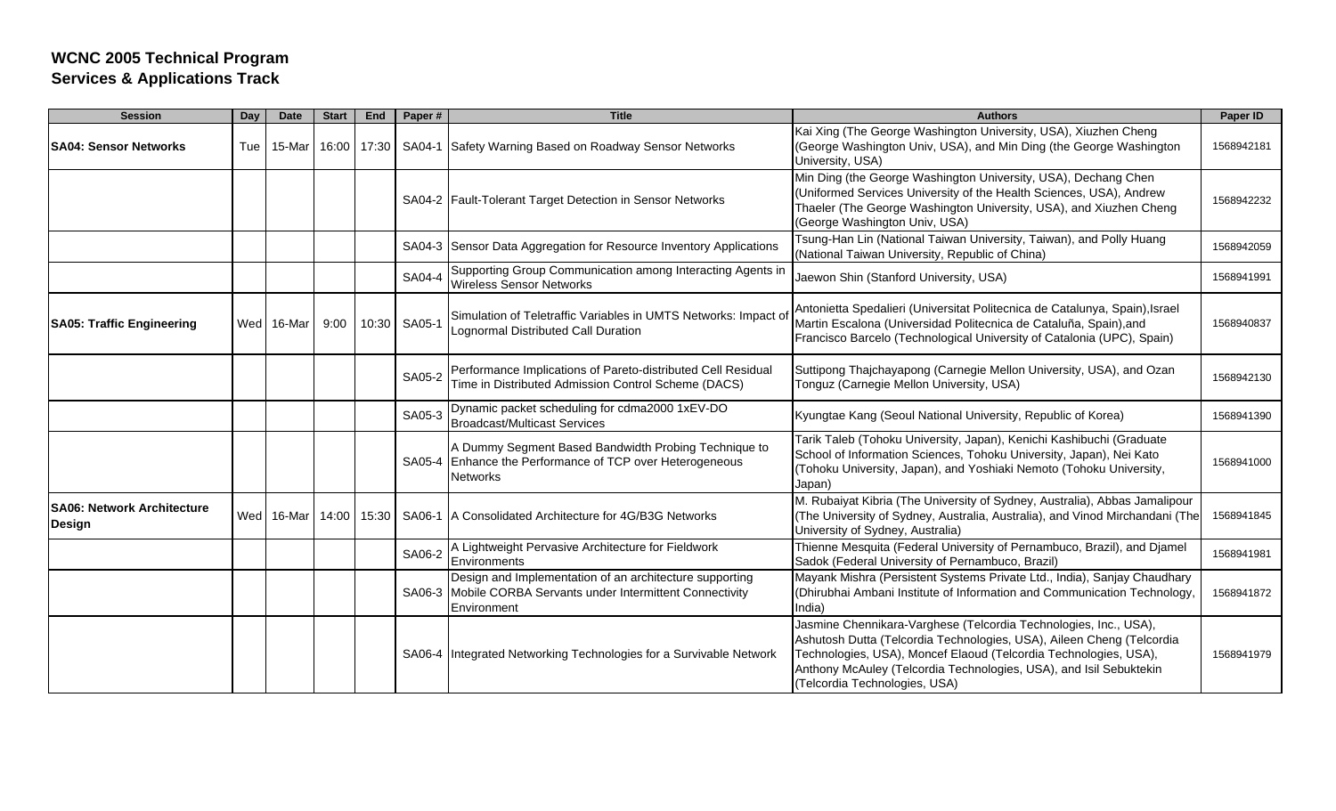| <b>Session</b>                                      | Day | <b>Date</b> | <b>Start</b> | End   | Paper# | <b>Title</b>                                                                                                                           | <b>Authors</b>                                                                                                                                                                                                                                                                                                       | Paper ID   |
|-----------------------------------------------------|-----|-------------|--------------|-------|--------|----------------------------------------------------------------------------------------------------------------------------------------|----------------------------------------------------------------------------------------------------------------------------------------------------------------------------------------------------------------------------------------------------------------------------------------------------------------------|------------|
| <b>SA04: Sensor Networks</b>                        | Tue | 15-Mar      | 16:00        | 17:30 |        | SA04-1 Safety Warning Based on Roadway Sensor Networks                                                                                 | Kai Xing (The George Washington University, USA), Xiuzhen Cheng<br>(George Washington Univ, USA), and Min Ding (the George Washington<br>University, USA)                                                                                                                                                            | 1568942181 |
|                                                     |     |             |              |       |        | SA04-2 Fault-Tolerant Target Detection in Sensor Networks                                                                              | Min Ding (the George Washington University, USA), Dechang Chen<br>(Uniformed Services University of the Health Sciences, USA), Andrew<br>Thaeler (The George Washington University, USA), and Xiuzhen Cheng<br>(George Washington Univ, USA)                                                                         | 1568942232 |
|                                                     |     |             |              |       |        | SA04-3 Sensor Data Aggregation for Resource Inventory Applications                                                                     | Tsung-Han Lin (National Taiwan University, Taiwan), and Polly Huang<br>(National Taiwan University, Republic of China)                                                                                                                                                                                               | 1568942059 |
|                                                     |     |             |              |       | SA04-4 | Supporting Group Communication among Interacting Agents in<br><b>Nireless Sensor Networks</b>                                          | Jaewon Shin (Stanford University, USA)                                                                                                                                                                                                                                                                               | 1568941991 |
| <b>SA05: Traffic Engineering</b>                    |     | Wed 16-Mar  | 9:00         | 10:30 | SA05-1 | Simulation of Teletraffic Variables in UMTS Networks: Impact of<br>Lognormal Distributed Call Duration                                 | Antonietta Spedalieri (Universitat Politecnica de Catalunya, Spain), Israel<br>Martin Escalona (Universidad Politecnica de Cataluña, Spain), and<br>Francisco Barcelo (Technological University of Catalonia (UPC), Spain)                                                                                           | 1568940837 |
|                                                     |     |             |              |       | SA05-2 | Performance Implications of Pareto-distributed Cell Residual<br>Time in Distributed Admission Control Scheme (DACS)                    | Suttipong Thajchayapong (Carnegie Mellon University, USA), and Ozan<br>Tonguz (Carnegie Mellon University, USA)                                                                                                                                                                                                      | 1568942130 |
|                                                     |     |             |              |       | SA05-3 | Dynamic packet scheduling for cdma2000 1xEV-DO<br><b>Broadcast/Multicast Services</b>                                                  | Kyungtae Kang (Seoul National University, Republic of Korea)                                                                                                                                                                                                                                                         | 1568941390 |
|                                                     |     |             |              |       |        | A Dummy Segment Based Bandwidth Probing Technique to<br>SA05-4 Enhance the Performance of TCP over Heterogeneous<br><b>Networks</b>    | Tarik Taleb (Tohoku University, Japan), Kenichi Kashibuchi (Graduate<br>School of Information Sciences, Tohoku University, Japan), Nei Kato<br>(Tohoku University, Japan), and Yoshiaki Nemoto (Tohoku University,<br>Japan)                                                                                         | 1568941000 |
| <b>ISA06: Network Architecture</b><br><b>Design</b> |     | Wed 16-Mar  | 14:00        | 15:30 |        | SA06-1   A Consolidated Architecture for 4G/B3G Networks                                                                               | M. Rubaiyat Kibria (The University of Sydney, Australia), Abbas Jamalipour<br>(The University of Sydney, Australia, Australia), and Vinod Mirchandani (The<br>University of Sydney, Australia)                                                                                                                       | 1568941845 |
|                                                     |     |             |              |       | SA06-2 | A Lightweight Pervasive Architecture for Fieldwork<br>Environments                                                                     | Thienne Mesquita (Federal University of Pernambuco, Brazil), and Djamel<br>Sadok (Federal University of Pernambuco, Brazil)                                                                                                                                                                                          | 1568941981 |
|                                                     |     |             |              |       |        | Design and Implementation of an architecture supporting<br>SA06-3 Mobile CORBA Servants under Intermittent Connectivity<br>Environment | Mayank Mishra (Persistent Systems Private Ltd., India), Sanjay Chaudhary<br>(Dhirubhai Ambani Institute of Information and Communication Technology,<br>India)                                                                                                                                                       | 1568941872 |
|                                                     |     |             |              |       |        | SA06-4 Integrated Networking Technologies for a Survivable Network                                                                     | Jasmine Chennikara-Varghese (Telcordia Technologies, Inc., USA),<br>Ashutosh Dutta (Telcordia Technologies, USA), Aileen Cheng (Telcordia<br>Technologies, USA), Moncef Elaoud (Telcordia Technologies, USA),<br>Anthony McAuley (Telcordia Technologies, USA), and Isil Sebuktekin<br>(Telcordia Technologies, USA) | 1568941979 |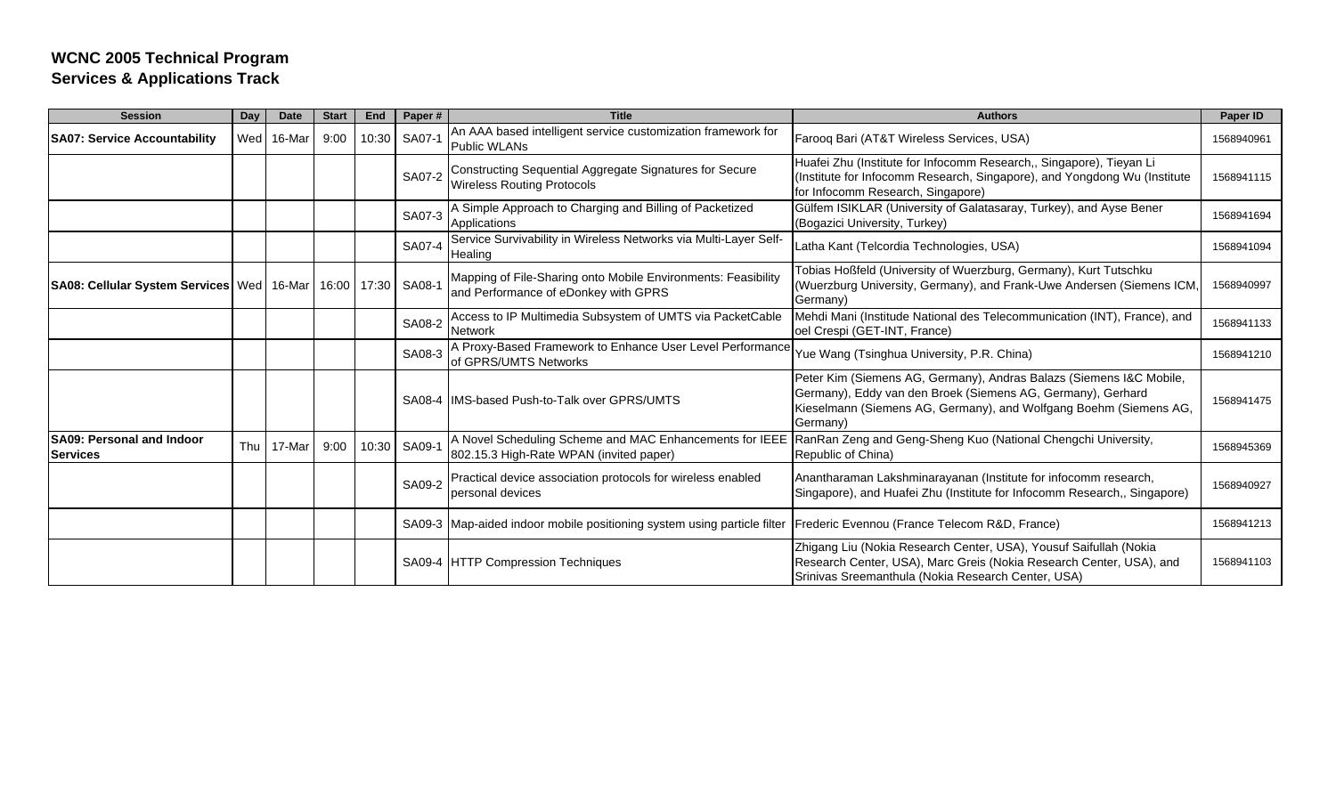| <b>Session</b>                                                | Day | <b>Date</b> | <b>Start</b> | End   | Paper# | <b>Title</b>                                                                                          | <b>Authors</b>                                                                                                                                                                                                      | Paper ID   |
|---------------------------------------------------------------|-----|-------------|--------------|-------|--------|-------------------------------------------------------------------------------------------------------|---------------------------------------------------------------------------------------------------------------------------------------------------------------------------------------------------------------------|------------|
| <b>SA07: Service Accountability</b>                           | Wed | 16-Mar      | 9:00         | 10:30 | SA07-1 | An AAA based intelligent service customization framework for<br>Public WLANs                          | Farooq Bari (AT&T Wireless Services, USA)                                                                                                                                                                           | 1568940961 |
|                                                               |     |             |              |       | SA07-2 | Constructing Sequential Aggregate Signatures for Secure<br><b>Wireless Routing Protocols</b>          | Huafei Zhu (Institute for Infocomm Research,, Singapore), Tieyan Li<br>(Institute for Infocomm Research, Singapore), and Yongdong Wu (Institute<br>for Infocomm Research, Singapore)                                | 1568941115 |
|                                                               |     |             |              |       | SA07-3 | A Simple Approach to Charging and Billing of Packetized<br>Applications                               | Gülfem ISIKLAR (University of Galatasaray, Turkey), and Ayse Bener<br>(Bogazici University, Turkey)                                                                                                                 | 1568941694 |
|                                                               |     |             |              |       | SA07-4 | Service Survivability in Wireless Networks via Multi-Layer Self-<br>Healing                           | Latha Kant (Telcordia Technologies, USA)                                                                                                                                                                            | 1568941094 |
| SA08: Cellular System Services   Wed   16-Mar   16:00   17:30 |     |             |              |       | SA08-1 | Mapping of File-Sharing onto Mobile Environments: Feasibility<br>and Performance of eDonkey with GPRS | Tobias Hoßfeld (University of Wuerzburg, Germany), Kurt Tutschku<br>(Wuerzburg University, Germany), and Frank-Uwe Andersen (Siemens ICM,<br>Germany)                                                               | 1568940997 |
|                                                               |     |             |              |       | SA08-2 | Access to IP Multimedia Subsystem of UMTS via PacketCable<br><b>Network</b>                           | Mehdi Mani (Institude National des Telecommunication (INT), France), and<br>oel Crespi (GET-INT, France)                                                                                                            | 1568941133 |
|                                                               |     |             |              |       | SA08-3 | A Proxy-Based Framework to Enhance User Level Performance<br>of GPRS/UMTS Networks                    | Yue Wang (Tsinghua University, P.R. China)                                                                                                                                                                          | 1568941210 |
|                                                               |     |             |              |       |        | SA08-4 IIMS-based Push-to-Talk over GPRS/UMTS                                                         | Peter Kim (Siemens AG, Germany), Andras Balazs (Siemens I&C Mobile,<br>Germany), Eddy van den Broek (Siemens AG, Germany), Gerhard<br>Kieselmann (Siemens AG, Germany), and Wolfgang Boehm (Siemens AG,<br>Germany) | 1568941475 |
| <b>SA09: Personal and Indoor</b><br><b>Services</b>           | Thu | 17-Mar      | 9:00         | 10:30 | SA09-1 | 802.15.3 High-Rate WPAN (invited paper)                                                               | A Novel Scheduling Scheme and MAC Enhancements for IEEE RanRan Zeng and Geng-Sheng Kuo (National Chengchi University,<br>Republic of China)                                                                         | 1568945369 |
|                                                               |     |             |              |       | SA09-2 | Practical device association protocols for wireless enabled<br>personal devices                       | Anantharaman Lakshminarayanan (Institute for infocomm research,<br>Singapore), and Huafei Zhu (Institute for Infocomm Research,, Singapore)                                                                         | 1568940927 |
|                                                               |     |             |              |       |        | SA09-3 Map-aided indoor mobile positioning system using particle filter                               | Frederic Evennou (France Telecom R&D, France)                                                                                                                                                                       | 1568941213 |
|                                                               |     |             |              |       |        | SA09-4 HTTP Compression Techniques                                                                    | Zhigang Liu (Nokia Research Center, USA), Yousuf Saifullah (Nokia<br>Research Center, USA), Marc Greis (Nokia Research Center, USA), and<br>Srinivas Sreemanthula (Nokia Research Center, USA)                      | 1568941103 |